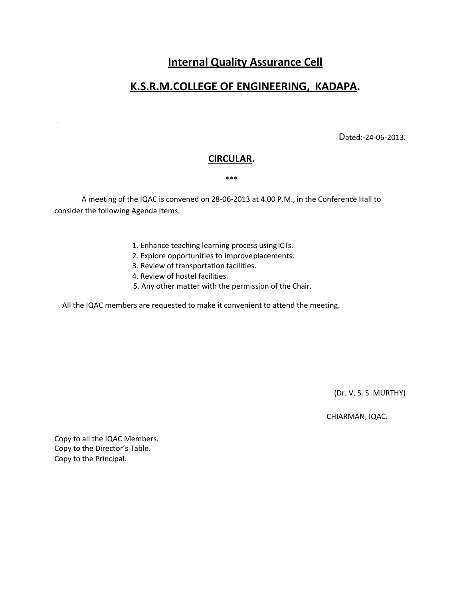# **Internal Quality Assurance Cell**

# **K.S.R.M.COLLEGE OF ENGINEERING, KADAPA.**

Dated:-24-06-2013.

### **CIRCULAR.**

#### \*\*\*

A meeting of the IQAC is convened on 28-06-2013 at 4.00 P.M., in the Conference Hall to consider the following Agenda Items.

- 1. Enhance teaching learning process using ICTs.
- 2. Explore opportunities to improveplacements.
- 3. Review of transportation facilities.
- 4. Review of hostel facilities.
- 5. Any other matter with the permission of the Chair.

All the IQAC members are requested to make it convenient to attend the meeting.

(Dr. V. S. S. MURTHY)

CHIARMAN, IQAC.

Copy to all the IQAC Members. Copy to the Director's Table. Copy to the Principal.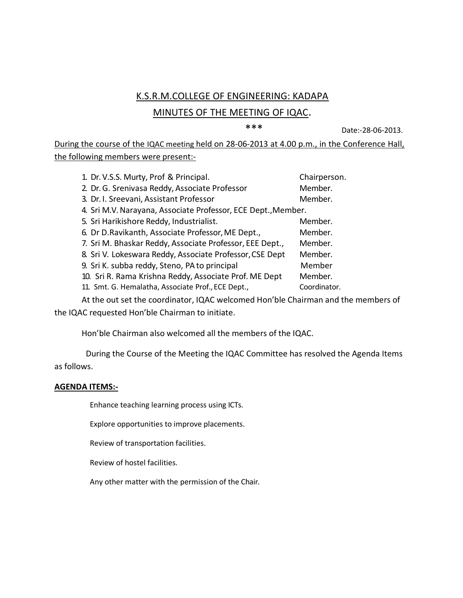## K.S.R.M.COLLEGE OF ENGINEERING: KADAPA

### MINUTES OF THE MEETING OF IQAC.

\*\*\* Date:-28-06-2013.

During the course of the IQAC meeting held on 28-06-2013 at 4.00 p.m., in the Conference Hall, the following members were present:-

| 1. Dr. V.S.S. Murty, Prof & Principal.                        |                                                          | Chairperson. |
|---------------------------------------------------------------|----------------------------------------------------------|--------------|
|                                                               | 2. Dr. G. Srenivasa Reddy, Associate Professor           | Member.      |
|                                                               | 3. Dr. I. Sreevani, Assistant Professor                  | Member.      |
| 4. Sri M.V. Narayana, Associate Professor, ECE Dept., Member. |                                                          |              |
|                                                               | 5. Sri Harikishore Reddy, Industrialist.                 | Member.      |
|                                                               | 6. Dr D. Ravikanth, Associate Professor, ME Dept.,       | Member.      |
|                                                               | 7. Sri M. Bhaskar Reddy, Associate Professor, EEE Dept., | Member.      |
|                                                               | 8. Sri V. Lokeswara Reddy, Associate Professor, CSE Dept | Member.      |
| 9. Sri K. subba reddy, Steno, PA to principal                 |                                                          | Member       |
|                                                               | 10. Sri R. Rama Krishna Reddy, Associate Prof. ME Dept   | Member.      |
|                                                               | 11. Smt. G. Hemalatha, Associate Prof., ECE Dept.,       | Coordinator. |

At the out set the coordinator, IQAC welcomed Hon'ble Chairman and the members of the IQAC requested Hon'ble Chairman to initiate.

Hon'ble Chairman also welcomed all the members of the IQAC.

During the Course of the Meeting the IQAC Committee has resolved the Agenda Items as follows.

### **AGENDA ITEMS:-**

Enhance teaching learning process using ICTs.

Explore opportunities to improve placements.

Review of transportation facilities.

Review of hostel facilities.

Any other matter with the permission of the Chair.